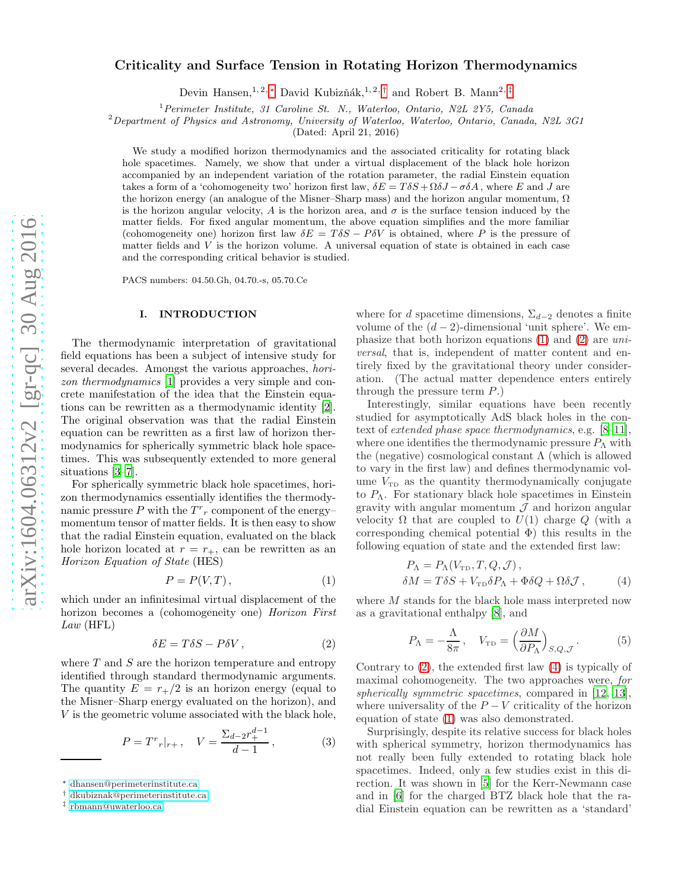# Criticality and Surface Tension in Rotating Horizon Thermodynamics

Devin Hansen,<sup>1, 2, [∗](#page-0-0)</sup> David Kubizňák,<sup>1, 2, [†](#page-0-1)</sup> and Robert B. Mann<sup>2, [‡](#page-0-2)</sup>

<sup>1</sup>*Perimeter Institute, 31 Caroline St. N., Waterloo, Ontario, N2L 2Y5, Canada*

<sup>2</sup>*Department of Physics and Astronomy, University of Waterloo, Waterloo, Ontario, Canada, N2L 3G1*

(Dated: April 21, 2016)

We study a modified horizon thermodynamics and the associated criticality for rotating black hole spacetimes. Namely, we show that under a virtual displacement of the black hole horizon accompanied by an independent variation of the rotation parameter, the radial Einstein equation takes a form of a 'cohomogeneity two' horizon first law,  $\delta E = T \delta S + \Omega \delta J - \sigma \delta A$ , where E and J are the horizon energy (an analogue of the Misner–Sharp mass) and the horizon angular momentum,  $\Omega$ is the horizon angular velocity, A is the horizon area, and  $\sigma$  is the surface tension induced by the matter fields. For fixed angular momentum, the above equation simplifies and the more familiar (cohomogeneity one) horizon first law  $\delta E = T \delta S - P \delta V$  is obtained, where P is the pressure of matter fields and  $V$  is the horizon volume. A universal equation of state is obtained in each case and the corresponding critical behavior is studied.

PACS numbers: 04.50.Gh, 04.70.-s, 05.70.Ce

### I. INTRODUCTION

The thermodynamic interpretation of gravitational field equations has been a subject of intensive study for several decades. Amongst the various approaches, horizon thermodynamics [\[1](#page-8-0)] provides a very simple and concrete manifestation of the idea that the Einstein equations can be rewritten as a thermodynamic identity [\[2\]](#page-8-1). The original observation was that the radial Einstein equation can be rewritten as a first law of horizon thermodynamics for spherically symmetric black hole spacetimes. This was subsequently extended to more general situations [\[3](#page-8-2)[–7](#page-9-0)].

For spherically symmetric black hole spacetimes, horizon thermodynamics essentially identifies the thermodynamic pressure  $P$  with the  $T^r{}_r$  component of the energymomentum tensor of matter fields. It is then easy to show that the radial Einstein equation, evaluated on the black hole horizon located at  $r = r_{+}$ , can be rewritten as an Horizon Equation of State (HES)

<span id="page-0-3"></span>
$$
P = P(V, T), \tag{1}
$$

which under an infinitesimal virtual displacement of the horizon becomes a (cohomogeneity one) *Horizon First* Law (HFL)

<span id="page-0-4"></span>
$$
\delta E = T \delta S - P \delta V, \qquad (2)
$$

where  $T$  and  $S$  are the horizon temperature and entropy identified through standard thermodynamic arguments. The quantity  $E = r_{+}/2$  is an horizon energy (equal to the Misner–Sharp energy evaluated on the horizon), and V is the geometric volume associated with the black hole,

$$
P = T^{r} r | r + , \quad V = \frac{\Sigma_{d-2} r_{+}^{d-1}}{d-1} , \tag{3}
$$

where for d spacetime dimensions,  $\Sigma_{d-2}$  denotes a finite volume of the  $(d-2)$ -dimensional 'unit sphere'. We emphasize that both horizon equations [\(1\)](#page-0-3) and [\(2\)](#page-0-4) are universal, that is, independent of matter content and entirely fixed by the gravitational theory under consideration. (The actual matter dependence enters entirely through the pressure term P.)

Interestingly, similar equations have been recently studied for asymptotically AdS black holes in the context of extended phase space thermodynamics, e.g. [\[8](#page-9-1)[–11\]](#page-9-2), where one identifies the thermodynamic pressure  $P_{\Lambda}$  with the (negative) cosmological constant  $\Lambda$  (which is allowed to vary in the first law) and defines thermodynamic volume  $V_{\text{TD}}$  as the quantity thermodynamically conjugate to  $P_{\Lambda}$ . For stationary black hole spacetimes in Einstein gravity with angular momentum  $\mathcal J$  and horizon angular velocity Ω that are coupled to  $U(1)$  charge Q (with a corresponding chemical potential  $\Phi$ ) this results in the following equation of state and the extended first law:

<span id="page-0-5"></span>
$$
P_{\Lambda} = P_{\Lambda}(V_{\text{TD}}, T, Q, \mathcal{J}),
$$
  
\n
$$
\delta M = T\delta S + V_{\text{TD}}\delta P_{\Lambda} + \Phi \delta Q + \Omega \delta \mathcal{J},
$$
\n(4)

where M stands for the black hole mass interpreted now as a gravitational enthalpy [\[8\]](#page-9-1), and

$$
P_{\Lambda} = -\frac{\Lambda}{8\pi}, \quad V_{\text{TD}} = \left(\frac{\partial M}{\partial P_{\Lambda}}\right)_{S,Q,\mathcal{J}}.
$$
 (5)

Contrary to [\(2\)](#page-0-4), the extended first law [\(4\)](#page-0-5) is typically of maximal cohomogeneity. The two approaches were, for spherically symmetric spacetimes, compared in [\[12,](#page-9-3) [13\]](#page-9-4), where universality of the  $P - V$  criticality of the horizon equation of state [\(1\)](#page-0-3) was also demonstrated.

Surprisingly, despite its relative success for black holes with spherical symmetry, horizon thermodynamics has not really been fully extended to rotating black hole spacetimes. Indeed, only a few studies exist in this direction. It was shown in [\[5\]](#page-9-5) for the Kerr-Newmann case and in [\[6](#page-9-6)] for the charged BTZ black hole that the radial Einstein equation can be rewritten as a 'standard'

<span id="page-0-0"></span><sup>∗</sup> [dhansen@perimeterinstitute.ca](mailto:dhansen@perimeterinstitute.ca)

<span id="page-0-1"></span><sup>†</sup> [dkubiznak@perimeterinstitute.ca](mailto:dkubiznak@perimeterinstitute.ca)

<span id="page-0-2"></span><sup>‡</sup> [rbmann@uwaterloo.ca](mailto:rbmann@uwaterloo.ca)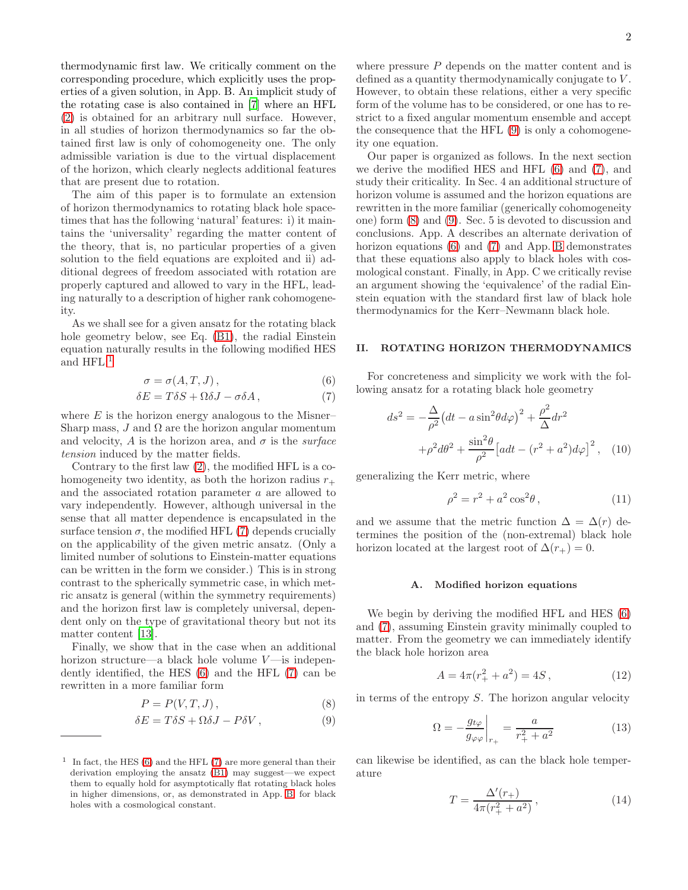thermodynamic first law. We critically comment on the corresponding procedure, which explicitly uses the properties of a given solution, in App. B. An implicit study of the rotating case is also contained in [\[7\]](#page-9-0) where an HFL [\(2\)](#page-0-4) is obtained for an arbitrary null surface. However, in all studies of horizon thermodynamics so far the obtained first law is only of cohomogeneity one. The only admissible variation is due to the virtual displacement of the horizon, which clearly neglects additional features that are present due to rotation.

The aim of this paper is to formulate an extension of horizon thermodynamics to rotating black hole spacetimes that has the following 'natural' features: i) it maintains the 'universality' regarding the matter content of the theory, that is, no particular properties of a given solution to the field equations are exploited and ii) additional degrees of freedom associated with rotation are properly captured and allowed to vary in the HFL, leading naturally to a description of higher rank cohomogeneity.

As we shall see for a given ansatz for the rotating black hole geometry below, see Eq. [\(B1\)](#page-7-0), the radial Einstein equation naturally results in the following modified HES and  $HFL:$ <sup>[1](#page-1-0)</sup>

<span id="page-1-1"></span>
$$
\sigma = \sigma(A, T, J),\tag{6}
$$

$$
\delta E = T\delta S + \Omega \delta J - \sigma \delta A, \qquad (7)
$$

where  $E$  is the horizon energy analogous to the Misner– Sharp mass,  $J$  and  $\Omega$  are the horizon angular momentum and velocity, A is the horizon area, and  $\sigma$  is the *surface* tension induced by the matter fields.

Contrary to the first law [\(2\)](#page-0-4), the modified HFL is a cohomogeneity two identity, as both the horizon radius  $r_{+}$ and the associated rotation parameter a are allowed to vary independently. However, although universal in the sense that all matter dependence is encapsulated in the surface tension  $\sigma$ , the modified HFL [\(7\)](#page-1-1) depends crucially on the applicability of the given metric ansatz. (Only a limited number of solutions to Einstein-matter equations can be written in the form we consider.) This is in strong contrast to the spherically symmetric case, in which metric ansatz is general (within the symmetry requirements) and the horizon first law is completely universal, dependent only on the type of gravitational theory but not its matter content [\[13\]](#page-9-4).

Finally, we show that in the case when an additional horizon structure—a black hole volume  $V$ —is independently identified, the HES [\(6\)](#page-1-1) and the HFL [\(7\)](#page-1-1) can be rewritten in a more familiar form

<span id="page-1-2"></span>
$$
P = P(V, T, J), \tag{8}
$$

$$
\delta E = T \delta S + \Omega \delta J - P \delta V, \qquad (9)
$$

where pressure  $P$  depends on the matter content and is defined as a quantity thermodynamically conjugate to V. However, to obtain these relations, either a very specific form of the volume has to be considered, or one has to restrict to a fixed angular momentum ensemble and accept the consequence that the HFL [\(9\)](#page-1-2) is only a cohomogeneity one equation.

Our paper is organized as follows. In the next section we derive the modified HES and HFL [\(6\)](#page-1-1) and [\(7\)](#page-1-1), and study their criticality. In Sec. 4 an additional structure of horizon volume is assumed and the horizon equations are rewritten in the more familiar (generically cohomogeneity one) form [\(8\)](#page-1-2) and [\(9\)](#page-1-2). Sec. 5 is devoted to discussion and conclusions. App. A describes an alternate derivation of horizon equations [\(6\)](#page-1-1) and [\(7\)](#page-1-1) and App. [B](#page-7-1) demonstrates that these equations also apply to black holes with cosmological constant. Finally, in App. C we critically revise an argument showing the 'equivalence' of the radial Einstein equation with the standard first law of black hole thermodynamics for the Kerr–Newmann black hole.

### II. ROTATING HORIZON THERMODYNAMICS

For concreteness and simplicity we work with the following ansatz for a rotating black hole geometry

$$
ds^{2} = -\frac{\Delta}{\rho^{2}} \left(dt - a\sin^{2}\theta d\varphi\right)^{2} + \frac{\rho^{2}}{\Delta} dr^{2}
$$

$$
+ \rho^{2} d\theta^{2} + \frac{\sin^{2}\theta}{\rho^{2}} \left[adt - (r^{2} + a^{2})d\varphi\right]^{2}, \quad (10)
$$

generalizing the Kerr metric, where

$$
\rho^2 = r^2 + a^2 \cos^2 \theta \,,\tag{11}
$$

and we assume that the metric function  $\Delta = \Delta(r)$  determines the position of the (non-extremal) black hole horizon located at the largest root of  $\Delta(r_{+})=0$ .

### A. Modified horizon equations

We begin by deriving the modified HFL and HES [\(6\)](#page-1-1) and [\(7\)](#page-1-1), assuming Einstein gravity minimally coupled to matter. From the geometry we can immediately identify the black hole horizon area

<span id="page-1-3"></span>
$$
A = 4\pi (r_+^2 + a^2) = 4S \,, \tag{12}
$$

in terms of the entropy  $S$ . The horizon angular velocity

$$
\Omega = -\frac{g_{t\varphi}}{g_{\varphi\varphi}}\bigg|_{r_+} = \frac{a}{r_+^2 + a^2} \tag{13}
$$

can likewise be identified, as can the black hole temperature

$$
T = \frac{\Delta'(r_+)}{4\pi(r_+^2 + a^2)},
$$
\n(14)

<span id="page-1-0"></span><sup>&</sup>lt;sup>1</sup> In fact, the HES  $(6)$  and the HFL  $(7)$  are more general than their derivation employing the ansatz [\(B1\)](#page-7-0) may suggest—we expect them to equally hold for asymptotically flat rotating black holes in higher dimensions, or, as demonstrated in App. [B,](#page-7-1) for black holes with a cosmological constant.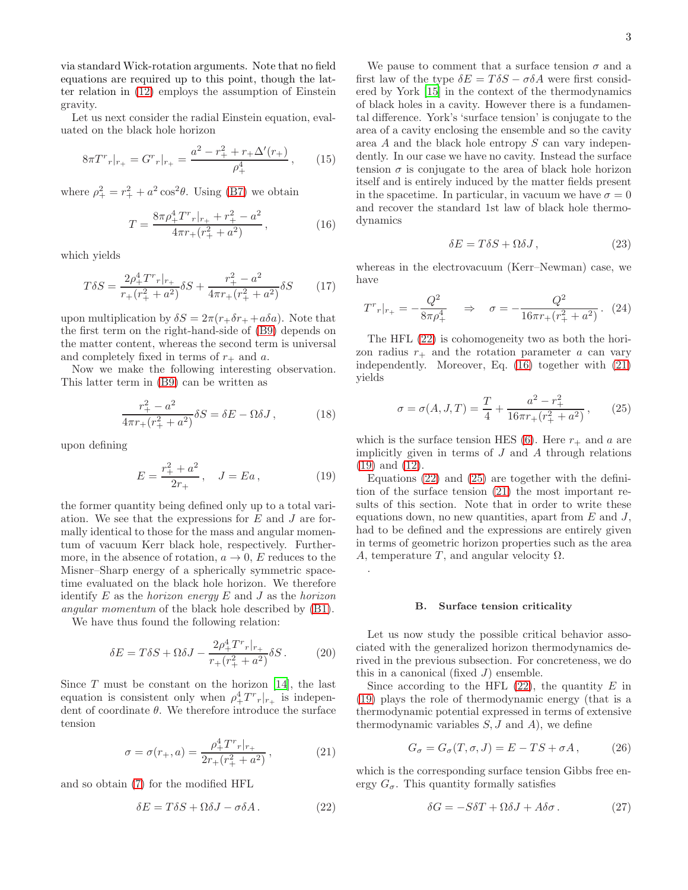via standard Wick-rotation arguments. Note that no field equations are required up to this point, though the latter relation in [\(12\)](#page-1-3) employs the assumption of Einstein gravity.

Let us next consider the radial Einstein equation, evaluated on the black hole horizon

$$
8\pi T^{r}{}_{r}|_{r+} = G^{r}{}_{r}|_{r+} = \frac{a^2 - r_+^2 + r_+ \Delta'(r_+)}{\rho_+^4},\qquad(15)
$$

where  $\rho_+^2 = r_+^2 + a^2 \cos^2 \theta$ . Using [\(B7\)](#page-7-2) we obtain

<span id="page-2-1"></span>
$$
T = \frac{8\pi\rho_+^4 T^r r r + r_+^2 - a^2}{4\pi r + (r_+^2 + a^2)},
$$
\n(16)

which yields

$$
T\delta S = \frac{2\rho_+^4 T^r r |_{r_+}}{r_+ (r_+^2 + a^2)} \delta S + \frac{r_+^2 - a^2}{4\pi r_+ (r_+^2 + a^2)} \delta S \tag{17}
$$

upon multiplication by  $\delta S = 2\pi (r_+ \delta r_+ + a \delta a)$ . Note that the first term on the right-hand-side of [\(B9\)](#page-7-3) depends on the matter content, whereas the second term is universal and completely fixed in terms of  $r_{+}$  and a.

Now we make the following interesting observation. This latter term in [\(B9\)](#page-7-3) can be written as

<span id="page-2-5"></span>
$$
\frac{r_{+}^{2} - a^{2}}{4\pi r_{+} (r_{+}^{2} + a^{2})} \delta S = \delta E - \Omega \delta J , \qquad (18)
$$

upon defining

<span id="page-2-3"></span>
$$
E = \frac{r_+^2 + a^2}{2r_+}, \quad J = Ea \,, \tag{19}
$$

the former quantity being defined only up to a total variation. We see that the expressions for E and J are formally identical to those for the mass and angular momentum of vacuum Kerr black hole, respectively. Furthermore, in the absence of rotation,  $a \to 0$ , E reduces to the Misner–Sharp energy of a spherically symmetric spacetime evaluated on the black hole horizon. We therefore identify  $E$  as the *horizon* energy  $E$  and  $J$  as the *horizon* angular momentum of the black hole described by [\(B1\)](#page-7-0).

We have thus found the following relation:

$$
\delta E = T\delta S + \Omega \delta J - \frac{2\rho_+^4 T^r r_r_r}{r_r (r_+^2 + a^2)} \delta S. \tag{20}
$$

Since  $T$  must be constant on the horizon [\[14\]](#page-9-7), the last equation is consistent only when  $\rho_+^4 T^r r_{r+}$  is independent of coordinate  $\theta$ . We therefore introduce the surface tension

<span id="page-2-2"></span>
$$
\sigma = \sigma(r_+, a) = \frac{\rho_+^4 T^r r_{+}}{2r_+(r_+^2 + a^2)},\tag{21}
$$

and so obtain [\(7\)](#page-1-1) for the modified HFL

<span id="page-2-0"></span>
$$
\delta E = T \delta S + \Omega \delta J - \sigma \delta A. \qquad (22)
$$

We pause to comment that a surface tension  $\sigma$  and a first law of the type  $\delta E = T \delta S - \sigma \delta A$  were first considered by York [\[15\]](#page-9-8) in the context of the thermodynamics of black holes in a cavity. However there is a fundamental difference. York's 'surface tension' is conjugate to the area of a cavity enclosing the ensemble and so the cavity area A and the black hole entropy S can vary independently. In our case we have no cavity. Instead the surface tension  $\sigma$  is conjugate to the area of black hole horizon itself and is entirely induced by the matter fields present in the spacetime. In particular, in vacuum we have  $\sigma = 0$ and recover the standard 1st law of black hole thermodynamics

$$
\delta E = T \delta S + \Omega \delta J, \qquad (23)
$$

whereas in the electrovacuum (Kerr–Newman) case, we have

$$
T^{r}{}_{r}|_{r_{+}} = -\frac{Q^{2}}{8\pi\rho_{+}^{4}} \quad \Rightarrow \quad \sigma = -\frac{Q^{2}}{16\pi r_{+}(r_{+}^{2} + a^{2})}. \tag{24}
$$

The HFL [\(22\)](#page-2-0) is cohomogeneity two as both the horizon radius  $r_{+}$  and the rotation parameter a can vary independently. Moreover, Eq. [\(16\)](#page-2-1) together with [\(21\)](#page-2-2) yields

<span id="page-2-4"></span>
$$
\sigma = \sigma(A, J, T) = \frac{T}{4} + \frac{a^2 - r_+^2}{16\pi r_+ (r_+^2 + a^2)},\qquad(25)
$$

which is the surface tension HES [\(6\)](#page-1-1). Here  $r_{+}$  and a are implicitly given in terms of  $J$  and  $A$  through relations [\(19\)](#page-2-3) and [\(12\)](#page-1-3).

Equations [\(22\)](#page-2-0) and [\(25\)](#page-2-4) are together with the definition of the surface tension [\(21\)](#page-2-2) the most important results of this section. Note that in order to write these equations down, no new quantities, apart from  $E$  and  $J$ , had to be defined and the expressions are entirely given in terms of geometric horizon properties such as the area A, temperature T, and angular velocity  $\Omega$ .

#### B. Surface tension criticality

.

Let us now study the possible critical behavior associated with the generalized horizon thermodynamics derived in the previous subsection. For concreteness, we do this in a canonical (fixed  $J$ ) ensemble.

Since according to the HFL  $(22)$ , the quantity E in [\(19\)](#page-2-3) plays the role of thermodynamic energy (that is a thermodynamic potential expressed in terms of extensive thermodynamic variables  $S, J$  and  $A$ ), we define

$$
G_{\sigma} = G_{\sigma}(T, \sigma, J) = E - TS + \sigma A, \qquad (26)
$$

which is the corresponding surface tension Gibbs free energy  $G_{\sigma}$ . This quantity formally satisfies

$$
\delta G = -S\delta T + \Omega \delta J + A\delta \sigma. \tag{27}
$$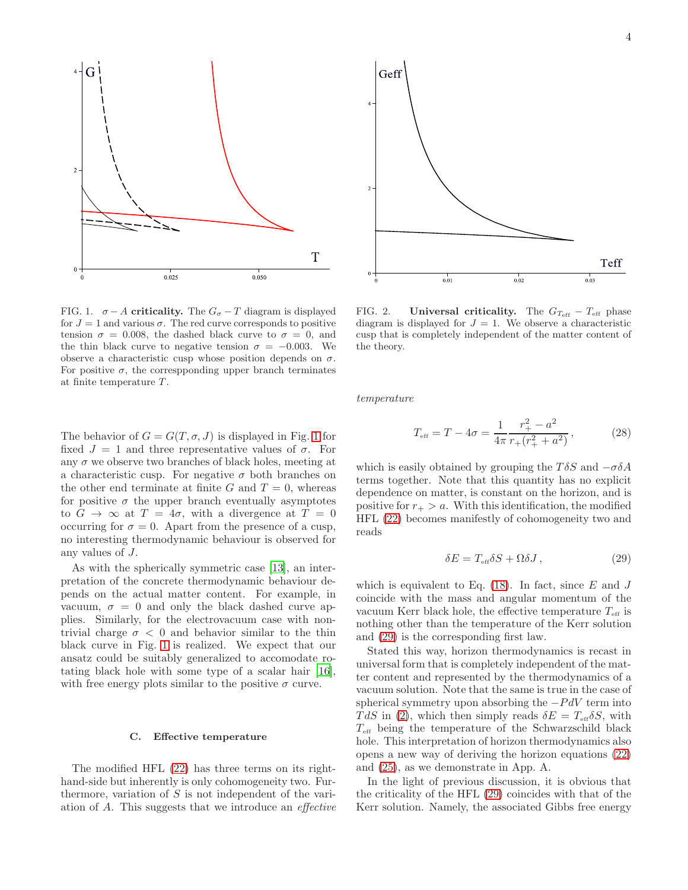

<span id="page-3-0"></span>FIG. 1.  $\sigma - A$  criticality. The  $G_{\sigma} - T$  diagram is displayed for  $J = 1$  and various  $\sigma$ . The red curve corresponds to positive tension  $\sigma = 0.008$ , the dashed black curve to  $\sigma = 0$ , and the thin black curve to negative tension  $\sigma = -0.003$ . We observe a characteristic cusp whose position depends on  $\sigma$ . For positive  $\sigma$ , the correspponding upper branch terminates at finite temperature  $T$ .

The behavior of  $G = G(T, \sigma, J)$  is displayed in Fig. [1](#page-3-0) for fixed  $J = 1$  and three representative values of  $\sigma$ . For any  $\sigma$  we observe two branches of black holes, meeting at a characteristic cusp. For negative  $\sigma$  both branches on the other end terminate at finite G and  $T = 0$ , whereas for positive  $\sigma$  the upper branch eventually asymptotes to  $G \to \infty$  at  $T = 4\sigma$ , with a divergence at  $T = 0$ occurring for  $\sigma = 0$ . Apart from the presence of a cusp, no interesting thermodynamic behaviour is observed for any values of J.

As with the spherically symmetric case [\[13](#page-9-4)], an interpretation of the concrete thermodynamic behaviour depends on the actual matter content. For example, in vacuum,  $\sigma = 0$  and only the black dashed curve applies. Similarly, for the electrovacuum case with nontrivial charge  $\sigma < 0$  and behavior similar to the thin black curve in Fig. [1](#page-3-0) is realized. We expect that our ansatz could be suitably generalized to accomodate rotating black hole with some type of a scalar hair [\[16\]](#page-9-9), with free energy plots similar to the positive  $\sigma$  curve.

#### C. Effective temperature

The modified HFL [\(22\)](#page-2-0) has three terms on its righthand-side but inherently is only cohomogeneity two. Furthermore, variation of  $S$  is not independent of the variation of A. This suggests that we introduce an effective



<span id="page-3-2"></span>FIG. 2. Universal criticality. The  $G_{T_{\text{eff}}} - T_{\text{eff}}$  phase diagram is displayed for  $J = 1$ . We observe a characteristic cusp that is completely independent of the matter content of the theory.

temperature

$$
T_{\text{eff}} = T - 4\sigma = \frac{1}{4\pi} \frac{r_+^2 - a^2}{r_+(r_+^2 + a^2)},\tag{28}
$$

which is easily obtained by grouping the T $\delta S$  and  $-\sigma \delta A$ terms together. Note that this quantity has no explicit dependence on matter, is constant on the horizon, and is positive for  $r_{+} > a$ . With this identification, the modified HFL [\(22\)](#page-2-0) becomes manifestly of cohomogeneity two and reads

<span id="page-3-1"></span>
$$
\delta E = T_{\text{eff}} \delta S + \Omega \delta J , \qquad (29)
$$

which is equivalent to Eq.  $(18)$ . In fact, since E and J coincide with the mass and angular momentum of the vacuum Kerr black hole, the effective temperature  $T_{\text{eff}}$  is nothing other than the temperature of the Kerr solution and [\(29\)](#page-3-1) is the corresponding first law.

Stated this way, horizon thermodynamics is recast in universal form that is completely independent of the matter content and represented by the thermodynamics of a vacuum solution. Note that the same is true in the case of spherical symmetry upon absorbing the  $-PdV$  term into TdS in [\(2\)](#page-0-4), which then simply reads  $\delta E = T_{\text{eff}} \delta S$ , with  $T_{\text{eff}}$  being the temperature of the Schwarzschild black hole. This interpretation of horizon thermodynamics also opens a new way of deriving the horizon equations [\(22\)](#page-2-0) and [\(25\)](#page-2-4), as we demonstrate in App. A.

In the light of previous discussion, it is obvious that the criticality of the HFL [\(29\)](#page-3-1) coincides with that of the Kerr solution. Namely, the associated Gibbs free energy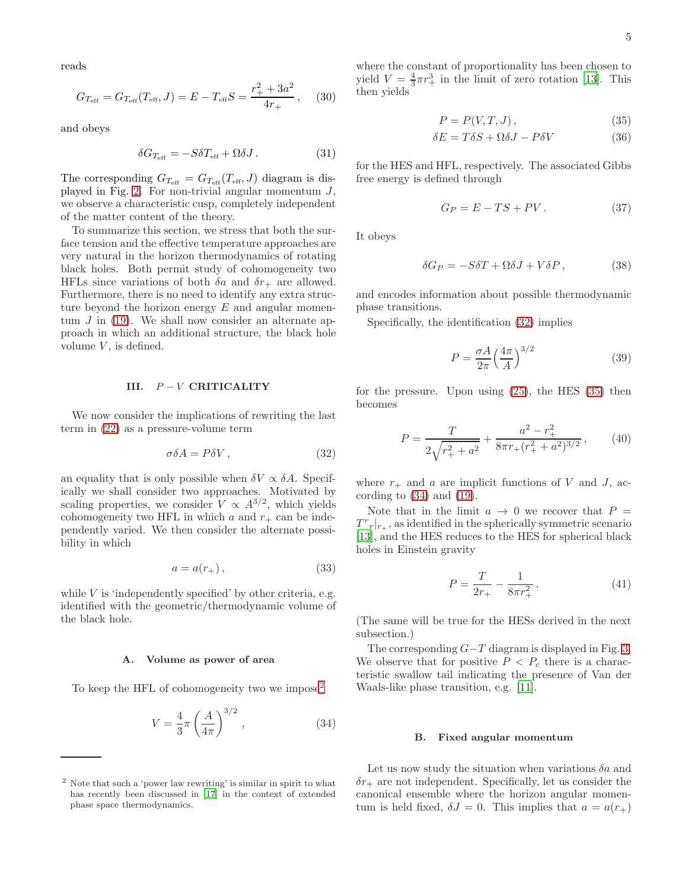reads

$$
G_{T_{\rm eff}} = G_{T_{\rm eff}}(T_{\rm eff}, J) = E - T_{\rm eff} S = \frac{r_+^2 + 3a^2}{4r_+}, \quad (30)
$$

and obeys

$$
\delta G_{T_{\rm eff}} = -S \delta T_{\rm eff} + \Omega \delta J. \tag{31}
$$

The corresponding  $G_{T_{\text{eff}}} = G_{T_{\text{eff}}}(T_{\text{eff}}, J)$  diagram is dis-played in Fig. [2.](#page-3-2) For non-trivial angular momentum  $J$ , we observe a characteristic cusp, completely independent of the matter content of the theory.

To summarize this section, we stress that both the surface tension and the effective temperature approaches are very natural in the horizon thermodynamics of rotating black holes. Both permit study of cohomogeneity two HFLs since variations of both  $\delta a$  and  $\delta r_+$  are allowed. Furthermore, there is no need to identify any extra structure beyond the horizon energy  $E$  and angular momentum  $J$  in [\(19\)](#page-2-3). We shall now consider an alternate approach in which an additional structure, the black hole volume  $V$ , is defined.

# <span id="page-4-4"></span>III.  $P - V$  CRITICALITY

We now consider the implications of rewriting the last term in [\(22\)](#page-2-0) as a pressure-volume term

<span id="page-4-1"></span>
$$
\sigma \delta A = P \delta V, \qquad (32)
$$

an equality that is only possible when  $\delta V \propto \delta A$ . Specifically we shall consider two approaches. Motivated by scaling properties, we consider  $V \propto A^{3/2}$ , which yields cohomogeneity two HFL in which  $a$  and  $r_{+}$  can be independently varied. We then consider the alternate possibility in which

$$
a = a(r_+),\tag{33}
$$

while  $V$  is 'independently specified' by other criteria, e.g. identified with the geometric/thermodynamic volume of the black hole.

#### A. Volume as power of area

To keep the HFL of cohomogeneity two we impose<sup>[2](#page-4-0)</sup>

<span id="page-4-3"></span>
$$
V = \frac{4}{3}\pi \left(\frac{A}{4\pi}\right)^{3/2},
$$
 (34)

where the constant of proportionality has been chosen to yield  $V = \frac{4}{3}\pi r_+^3$  in the limit of zero rotation [\[13](#page-9-4)]. This then yields

<span id="page-4-2"></span>
$$
P = P(V, T, J), \t\t(35)
$$

$$
\delta E = T\delta S + \Omega \delta J - P\delta V \tag{36}
$$

for the HES and HFL, respectively. The associated Gibbs free energy is defined through

$$
G_P = E - TS + PV. \tag{37}
$$

It obeys

$$
\delta G_P = -S\delta T + \Omega \delta J + V\delta P, \qquad (38)
$$

and encodes information about possible thermodynamic phase transitions.

Specifically, the identification [\(32\)](#page-4-1) implies

$$
P = \frac{\sigma A}{2\pi} \left(\frac{4\pi}{A}\right)^{3/2} \tag{39}
$$

for the pressure. Upon using [\(25\)](#page-2-4), the HES [\(35\)](#page-4-2) then becomes

$$
P = \frac{T}{2\sqrt{r_+^2 + a^2}} + \frac{a^2 - r_+^2}{8\pi r_+ (r_+^2 + a^2)^{3/2}},\qquad(40)
$$

where  $r_{+}$  and a are implicit functions of V and J, according to  $(34)$  and  $(19)$ .

Note that in the limit  $a \to 0$  we recover that  $P =$  $Tr_r|_{r_+}$ , as identified in the spherically symmetric scenario [\[13\]](#page-9-4), and the HES reduces to the HES for spherical black holes in Einstein gravity

$$
P = \frac{T}{2r_+} - \frac{1}{8\pi r_+^2} \,. \tag{41}
$$

(The same will be true for the HESs derived in the next subsection.)

The corresponding  $G-T$  diagram is displayed in Fig. [3.](#page-5-0) We observe that for positive  $P < P_c$  there is a characteristic swallow tail indicating the presence of Van der Waals-like phase transition, e.g. [\[11\]](#page-9-2).

#### B. Fixed angular momentum

Let us now study the situation when variations  $\delta a$  and  $\delta r_+$  are not independent. Specifically, let us consider the canonical ensemble where the horizon angular momentum is held fixed,  $\delta J = 0$ . This implies that  $a = a(r_+)$ 

<span id="page-4-0"></span><sup>2</sup> Note that such a 'power law rewriting' is similar in spirit to what has recently been discussed in [\[17\]](#page-9-10) in the context of extended phase space thermodynamics.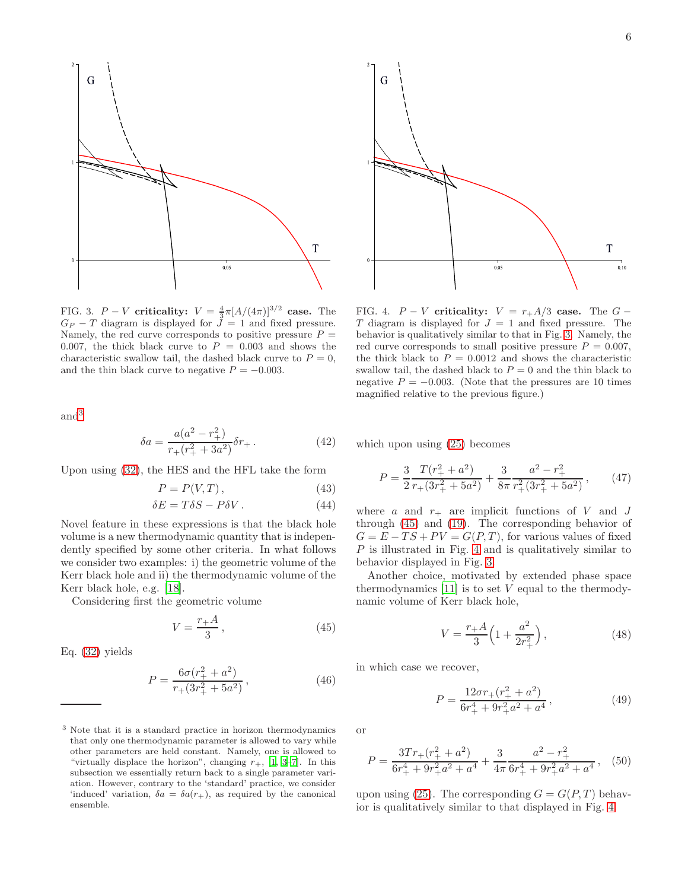

<span id="page-5-0"></span>FIG. 3.  $P - V$  criticality:  $V = \frac{4}{3}\pi [A/(4\pi)]^{3/2}$  case. The  $G_P - T$  diagram is displayed for  $\ddot{J} = 1$  and fixed pressure. Namely, the red curve corresponds to positive pressure  $P =$ 0.007, the thick black curve to  $P = 0.003$  and shows the characteristic swallow tail, the dashed black curve to  $P=0$ , and the thin black curve to negative  $P = -0.003$ .

and<sup>[3](#page-5-1)</sup>

$$
\delta a = \frac{a(a^2 - r_+^2)}{r_+(r_+^2 + 3a^2)} \delta r_+ \,. \tag{42}
$$

Upon using [\(32\)](#page-4-1), the HES and the HFL take the form

$$
P = P(V, T),\tag{43}
$$

$$
\delta E = T \delta S - P \delta V. \tag{44}
$$

Novel feature in these expressions is that the black hole volume is a new thermodynamic quantity that is independently specified by some other criteria. In what follows we consider two examples: i) the geometric volume of the Kerr black hole and ii) the thermodynamic volume of the Kerr black hole, e.g. [\[18](#page-9-11)].

Considering first the geometric volume

<span id="page-5-2"></span>
$$
V = \frac{r_+ A}{3},\tag{45}
$$

Eq. [\(32\)](#page-4-1) yields

$$
P = \frac{6\sigma(r_+^2 + a^2)}{r_+(3r_+^2 + 5a^2)},\tag{46}
$$



<span id="page-5-3"></span>FIG. 4.  $P - V$  criticality:  $V = r + A/3$  case. The  $G -$ T diagram is displayed for  $J = 1$  and fixed pressure. The behavior is qualitatively similar to that in Fig. [3.](#page-5-0) Namely, the red curve corresponds to small positive pressure  $P = 0.007$ , the thick black to  $P = 0.0012$  and shows the characteristic swallow tail, the dashed black to  $P = 0$  and the thin black to negative  $P = -0.003$ . (Note that the pressures are 10 times magnified relative to the previous figure.)

which upon using [\(25\)](#page-2-4) becomes

$$
P = \frac{3}{2} \frac{T(r_+^2 + a^2)}{r_+(3r_+^2 + 5a^2)} + \frac{3}{8\pi} \frac{a^2 - r_+^2}{r_+^2(3r_+^2 + 5a^2)},\qquad(47)
$$

where a and  $r_{+}$  are implicit functions of V and J through [\(45\)](#page-5-2) and [\(19\)](#page-2-3). The corresponding behavior of  $G = E - TS + PV = G(P, T)$ , for various values of fixed P is illustrated in Fig. [4](#page-5-3) and is qualitatively similar to behavior displayed in Fig. [3.](#page-5-0)

Another choice, motivated by extended phase space thermodynamics  $[11]$  is to set V equal to the thermodynamic volume of Kerr black hole,

$$
V = \frac{r_{+}A}{3} \left( 1 + \frac{a^{2}}{2r_{+}^{2}} \right),
$$
\n(48)

in which case we recover,

$$
P = \frac{12\sigma r_+ (r_+^2 + a^2)}{6r_+^4 + 9r_+^2 a^2 + a^4},\tag{49}
$$

or

$$
P = \frac{3Tr_+(r_+^2 + a^2)}{6r_+^4 + 9r_+^2a^2 + a^4} + \frac{3}{4\pi} \frac{a^2 - r_+^2}{6r_+^4 + 9r_+^2a^2 + a^4},
$$
 (50)

upon using [\(25\)](#page-2-4). The corresponding  $G = G(P,T)$  behavior is qualitatively similar to that displayed in Fig. [4.](#page-5-3)

<span id="page-5-1"></span><sup>3</sup> Note that it is a standard practice in horizon thermodynamics that only one thermodynamic parameter is allowed to vary while other parameters are held constant. Namely, one is allowed to "virtually displace the horizon", changing  $r_{+}$ , [\[1,](#page-8-0) [3](#page-8-2)[–7\]](#page-9-0). In this subsection we essentially return back to a single parameter variation. However, contrary to the 'standard' practice, we consider 'induced' variation,  $\delta a = \delta a(r_+),$  as required by the canonical ensemble.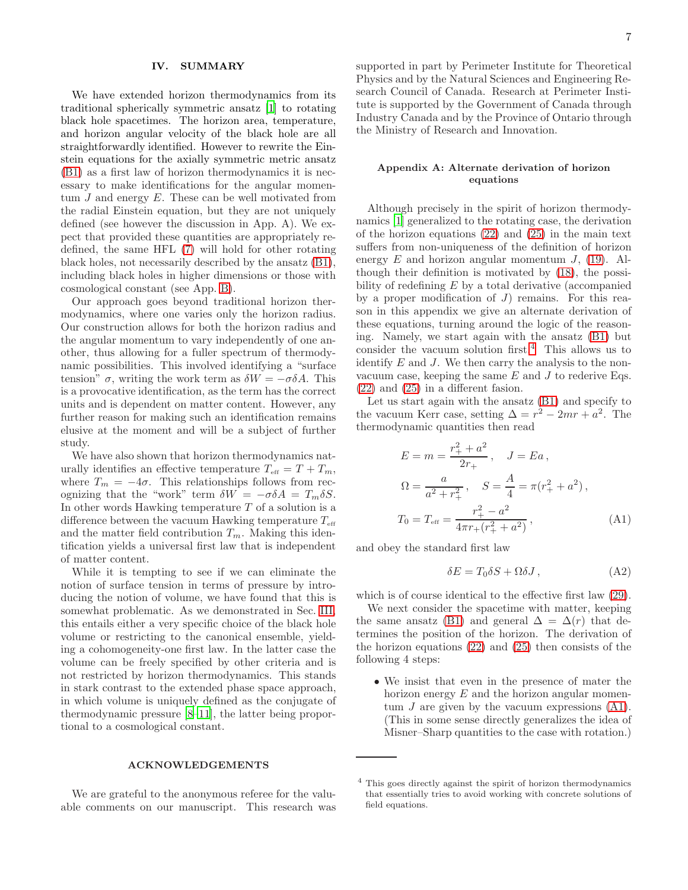### IV. SUMMARY

We have extended horizon thermodynamics from its traditional spherically symmetric ansatz [\[1\]](#page-8-0) to rotating black hole spacetimes. The horizon area, temperature, and horizon angular velocity of the black hole are all straightforwardly identified. However to rewrite the Einstein equations for the axially symmetric metric ansatz [\(B1\)](#page-7-0) as a first law of horizon thermodynamics it is necessary to make identifications for the angular momentum  $J$  and energy  $E$ . These can be well motivated from the radial Einstein equation, but they are not uniquely defined (see however the discussion in App. A). We expect that provided these quantities are appropriately redefined, the same HFL [\(7\)](#page-1-1) will hold for other rotating black holes, not necessarily described by the ansatz [\(B1\)](#page-7-0), including black holes in higher dimensions or those with cosmological constant (see App. [B\)](#page-7-1).

Our approach goes beyond traditional horizon thermodynamics, where one varies only the horizon radius. Our construction allows for both the horizon radius and the angular momentum to vary independently of one another, thus allowing for a fuller spectrum of thermodynamic possibilities. This involved identifying a "surface tension"  $\sigma$ , writing the work term as  $\delta W = -\sigma \delta A$ . This is a provocative identification, as the term has the correct units and is dependent on matter content. However, any further reason for making such an identification remains elusive at the moment and will be a subject of further study.

We have also shown that horizon thermodynamics naturally identifies an effective temperature  $T_{\text{eff}} = T + T_m$ , where  $T_m = -4\sigma$ . This relationships follows from recognizing that the "work" term  $\delta W = -\sigma \delta A = T_m \delta S$ . In other words Hawking temperature  $T$  of a solution is a difference between the vacuum Hawking temperature  $T_{\text{eff}}$ and the matter field contribution  $T_m$ . Making this identification yields a universal first law that is independent of matter content.

While it is tempting to see if we can eliminate the notion of surface tension in terms of pressure by introducing the notion of volume, we have found that this is somewhat problematic. As we demonstrated in Sec. [III,](#page-4-4) this entails either a very specific choice of the black hole volume or restricting to the canonical ensemble, yielding a cohomogeneity-one first law. In the latter case the volume can be freely specified by other criteria and is not restricted by horizon thermodynamics. This stands in stark contrast to the extended phase space approach, in which volume is uniquely defined as the conjugate of thermodynamic pressure [\[8](#page-9-1)[–11\]](#page-9-2), the latter being proportional to a cosmological constant.

### ACKNOWLEDGEMENTS

We are grateful to the anonymous referee for the valuable comments on our manuscript. This research was supported in part by Perimeter Institute for Theoretical Physics and by the Natural Sciences and Engineering Research Council of Canada. Research at Perimeter Institute is supported by the Government of Canada through Industry Canada and by the Province of Ontario through the Ministry of Research and Innovation.

### Appendix A: Alternate derivation of horizon equations

Although precisely in the spirit of horizon thermodynamics [\[1](#page-8-0)] generalized to the rotating case, the derivation of the horizon equations [\(22\)](#page-2-0) and [\(25\)](#page-2-4) in the main text suffers from non-uniqueness of the definition of horizon energy  $E$  and horizon angular momentum  $J$ , [\(19\)](#page-2-3). Although their definition is motivated by [\(18\)](#page-2-5), the possibility of redefining E by a total derivative (accompanied by a proper modification of  $J$ ) remains. For this reason in this appendix we give an alternate derivation of these equations, turning around the logic of the reasoning. Namely, we start again with the ansatz [\(B1\)](#page-7-0) but consider the vacuum solution first.[4](#page-6-0) This allows us to identify  $E$  and  $J$ . We then carry the analysis to the nonvacuum case, keeping the same  $E$  and  $J$  to rederive Eqs. [\(22\)](#page-2-0) and [\(25\)](#page-2-4) in a different fasion.

Let us start again with the ansatz [\(B1\)](#page-7-0) and specify to the vacuum Kerr case, setting  $\Delta = r^2 - 2mr + a^2$ . The thermodynamic quantities then read

<span id="page-6-1"></span>
$$
E = m = \frac{r_+^2 + a^2}{2r_+}, \quad J = Ea,
$$
  
\n
$$
\Omega = \frac{a}{a^2 + r_+^2}, \quad S = \frac{A}{4} = \pi (r_+^2 + a^2),
$$
  
\n
$$
T_0 = T_{\text{eff}} = \frac{r_+^2 - a^2}{4\pi r_+ (r_+^2 + a^2)},
$$
\n(A1)

and obey the standard first law

<span id="page-6-2"></span>
$$
\delta E = T_0 \delta S + \Omega \delta J, \qquad (A2)
$$

which is of course identical to the effective first law [\(29\)](#page-3-1).

We next consider the spacetime with matter, keeping the same ansatz [\(B1\)](#page-7-0) and general  $\Delta = \Delta(r)$  that determines the position of the horizon. The derivation of the horizon equations [\(22\)](#page-2-0) and [\(25\)](#page-2-4) then consists of the following 4 steps:

• We insist that even in the presence of mater the horizon energy  $E$  and the horizon angular momentum  $J$  are given by the vacuum expressions  $(A1)$ . (This in some sense directly generalizes the idea of Misner–Sharp quantities to the case with rotation.)

<span id="page-6-0"></span><sup>4</sup> This goes directly against the spirit of horizon thermodynamics that essentially tries to avoid working with concrete solutions of field equations.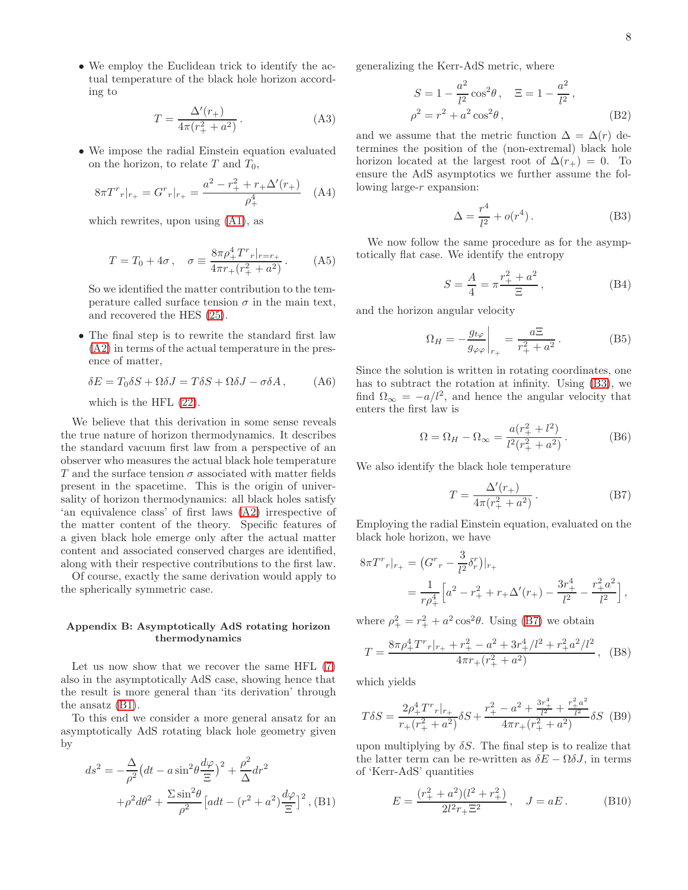• We employ the Euclidean trick to identify the actual temperature of the black hole horizon according to

$$
T = \frac{\Delta'(r_+)}{4\pi(r_+^2 + a^2)}.
$$
 (A3)

• We impose the radial Einstein equation evaluated on the horizon, to relate  $T$  and  $T_0$ ,

$$
8\pi T^{r}{}_{r}|_{r+} = G^{r}{}_{r}|_{r+} = \frac{a^{2} - r_{+}^{2} + r_{+} \Delta'(r_{+})}{\rho_{+}^{4}} \quad (A4)
$$

which rewrites, upon using [\(A1\)](#page-6-1), as

$$
T = T_0 + 4\sigma \,, \quad \sigma \equiv \frac{8\pi \rho_+^4 T^r r |_{r=r_+}}{4\pi r_+ (r_+^2 + a^2)} \,. \tag{A5}
$$

So we identified the matter contribution to the temperature called surface tension  $\sigma$  in the main text, and recovered the HES [\(25\)](#page-2-4).

• The final step is to rewrite the standard first law [\(A2\)](#page-6-2) in terms of the actual temperature in the presence of matter,

$$
\delta E = T_0 \delta S + \Omega \delta J = T \delta S + \Omega \delta J - \sigma \delta A, \quad (A6)
$$

which is the HFL [\(22\)](#page-2-0).

We believe that this derivation in some sense reveals the true nature of horizon thermodynamics. It describes the standard vacuum first law from a perspective of an observer who measures the actual black hole temperature T and the surface tension  $\sigma$  associated with matter fields present in the spacetime. This is the origin of universality of horizon thermodynamics: all black holes satisfy 'an equivalence class' of first laws [\(A2\)](#page-6-2) irrespective of the matter content of the theory. Specific features of a given black hole emerge only after the actual matter content and associated conserved charges are identified, along with their respective contributions to the first law.

Of course, exactly the same derivation would apply to the spherically symmetric case.

## <span id="page-7-1"></span>Appendix B: Asymptotically AdS rotating horizon thermodynamics

Let us now show that we recover the same HFL [\(7\)](#page-1-1) also in the asymptotically AdS case, showing hence that the result is more general than 'its derivation' through the ansatz [\(B1\)](#page-7-0).

To this end we consider a more general ansatz for an asymptotically AdS rotating black hole geometry given by

<span id="page-7-0"></span>
$$
ds^{2} = -\frac{\Delta}{\rho^{2}} \left(dt - a\sin^{2}\theta \frac{d\varphi}{\Xi}\right)^{2} + \frac{\rho^{2}}{\Delta} dr^{2}
$$

$$
+ \rho^{2} d\theta^{2} + \frac{\Sigma \sin^{2}\theta}{\rho^{2}} \left[ adt - (r^{2} + a^{2}) \frac{d\varphi}{\Xi} \right]^{2}, \text{(B1)}
$$

generalizing the Kerr-AdS metric, where

$$
S = 1 - \frac{a^2}{l^2} \cos^2 \theta, \quad \Xi = 1 - \frac{a^2}{l^2},
$$
  

$$
\rho^2 = r^2 + a^2 \cos^2 \theta,
$$
 (B2)

and we assume that the metric function  $\Delta = \Delta(r)$  determines the position of the (non-extremal) black hole horizon located at the largest root of  $\Delta(r_{+}) = 0$ . To ensure the AdS asymptotics we further assume the following large-r expansion:

<span id="page-7-4"></span>
$$
\Delta = \frac{r^4}{l^2} + o(r^4). \tag{B3}
$$

We now follow the same procedure as for the asymptotically flat case. We identify the entropy

<span id="page-7-7"></span>
$$
S = \frac{A}{4} = \pi \frac{r_+^2 + a^2}{\Xi},
$$
 (B4)

and the horizon angular velocity

<span id="page-7-8"></span>
$$
\Omega_H = -\frac{g_{t\varphi}}{g_{\varphi\varphi}}\bigg|_{r_+} = \frac{a\Xi}{r_+^2 + a^2} \,. \tag{B5}
$$

Since the solution is written in rotating coordinates, one has to subtract the rotation at infinity. Using [\(B3\)](#page-7-4), we find  $\Omega_{\infty} = -a/l^2$ , and hence the angular velocity that enters the first law is

$$
\Omega = \Omega_H - \Omega_{\infty} = \frac{a(r_+^2 + l^2)}{l^2(r_+^2 + a^2)}.
$$
 (B6)

We also identify the black hole temperature

<span id="page-7-2"></span>
$$
T = \frac{\Delta'(r_+)}{4\pi(r_+^2 + a^2)}.
$$
 (B7)

Employing the radial Einstein equation, evaluated on the black hole horizon, we have

$$
8\pi T^{r}{}_{r}|_{r_{+}} = (G^{r}{}_{r} - \frac{3}{l^{2}}\delta^{r}_{r})|_{r_{+}}
$$
  
= 
$$
\frac{1}{r\rho_{+}^{4}} \Big[a^{2} - r_{+}^{2} + r_{+} \Delta'(r_{+}) - \frac{3r_{+}^{4}}{l^{2}} - \frac{r_{+}^{2}a^{2}}{l^{2}}\Big],
$$

where  $\rho_+^2 = r_+^2 + a^2 \cos^2 \theta$ . Using [\(B7\)](#page-7-2) we obtain

<span id="page-7-5"></span>
$$
T = \frac{8\pi\rho_+^4 T^r r |_{r_+} + r_+^2 - a^2 + 3r_+^4/l^2 + r_+^2 a^2/l^2}{4\pi r_+ (r_+^2 + a^2)},
$$
 (B8)

which yields

<span id="page-7-3"></span>
$$
T\delta S = \frac{2\rho_+^4 T^r r |_{r_+}}{r_+(r_+^2 + a^2)} \delta S + \frac{r_+^2 - a^2 + \frac{3r_+^4}{l^2} + \frac{r_+^2 a^2}{l^2}}{4\pi r_+(r_+^2 + a^2)} \delta S
$$
 (B9)

upon multiplying by  $\delta S$ . The final step is to realize that the latter term can be re-written as  $\delta E - \Omega \delta J$ , in terms of 'Kerr-AdS' quantities

<span id="page-7-6"></span>
$$
E = \frac{(r_+^2 + a^2)(l^2 + r_+^2)}{2l^2r_+ \Xi^2}, \quad J = aE. \tag{B10}
$$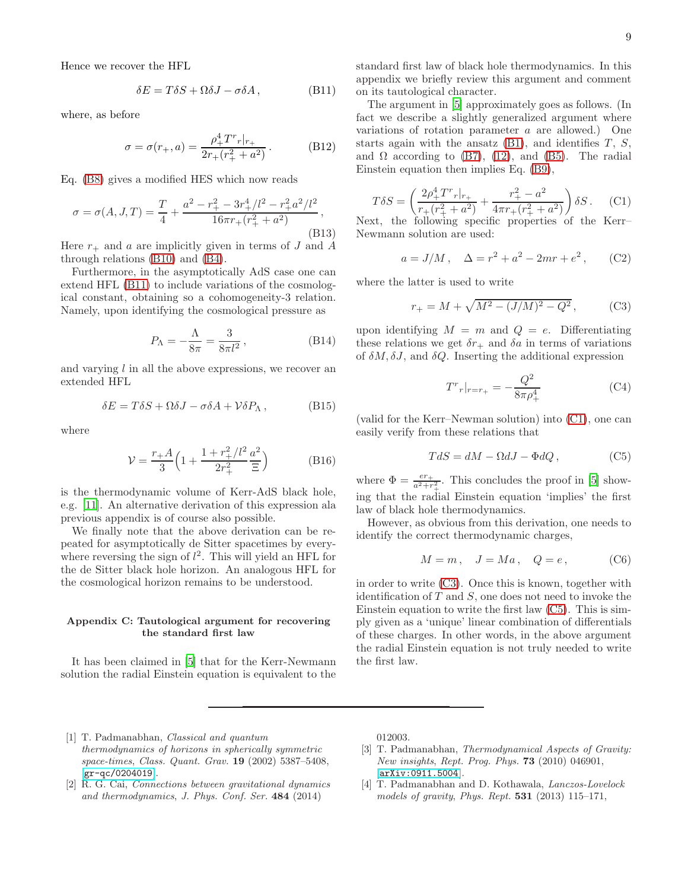Hence we recover the HFL

<span id="page-8-3"></span>
$$
\delta E = T\delta S + \Omega \delta J - \sigma \delta A, \qquad (B11)
$$

where, as before

$$
\sigma = \sigma(r_+, a) = \frac{\rho_+^4 T^r r_{r_+}}{2r_+(r_+^2 + a^2)}.
$$
 (B12)

Eq. [\(B8\)](#page-7-5) gives a modified HES which now reads

$$
\sigma = \sigma(A, J, T) = \frac{T}{4} + \frac{a^2 - r_+^2 - 3r_+^4/l^2 - r_+^2 a^2/l^2}{16\pi r_+(r_+^2 + a^2)},
$$
\n(B13)

Here  $r_{+}$  and a are implicitly given in terms of J and A through relations [\(B10\)](#page-7-6) and [\(B4\)](#page-7-7).

Furthermore, in the asymptotically AdS case one can extend HFL [\(B11\)](#page-8-3) to include variations of the cosmological constant, obtaining so a cohomogeneity-3 relation. Namely, upon identifying the cosmological pressure as

$$
P_{\Lambda} = -\frac{\Lambda}{8\pi} = \frac{3}{8\pi l^2},
$$
 (B14)

and varying  $l$  in all the above expressions, we recover an extended HFL

$$
\delta E = T\delta S + \Omega \delta J - \sigma \delta A + V \delta P_{\Lambda}, \qquad (B15)
$$

where

$$
\mathcal{V} = \frac{r_{+A}}{3} \left( 1 + \frac{1 + r_{+A}^{2} / l^{2}}{2r_{+}^{2}} \frac{a^{2}}{\Xi} \right)
$$
 (B16)

is the thermodynamic volume of Kerr-AdS black hole, e.g. [\[11](#page-9-2)]. An alternative derivation of this expression ala previous appendix is of course also possible.

We finally note that the above derivation can be repeated for asymptotically de Sitter spacetimes by everywhere reversing the sign of  $l^2$ . This will yield an HFL for the de Sitter black hole horizon. An analogous HFL for the cosmological horizon remains to be understood.

### Appendix C: Tautological argument for recovering the standard first law

It has been claimed in [\[5](#page-9-5)] that for the Kerr-Newmann solution the radial Einstein equation is equivalent to the standard first law of black hole thermodynamics. In this appendix we briefly review this argument and comment on its tautological character.

The argument in [\[5\]](#page-9-5) approximately goes as follows. (In fact we describe a slightly generalized argument where variations of rotation parameter a are allowed.) One starts again with the ansatz  $(B1)$ , and identifies  $T, S$ , and  $\Omega$  according to [\(B7\)](#page-7-2), [\(12\)](#page-1-3), and [\(B5\)](#page-7-8). The radial Einstein equation then implies Eq. [\(B9\)](#page-7-3),

<span id="page-8-4"></span>
$$
T\delta S = \left(\frac{2\rho_+^4 T^r r |_{r_+}}{r_+ (r_+^2 + a^2)} + \frac{r_+^2 - a^2}{4\pi r_+ (r_+^2 + a^2)}\right) \delta S. \tag{C1}
$$

Next, the following specific properties of the Kerr– Newmann solution are used:

$$
a = J/M
$$
,  $\Delta = r^2 + a^2 - 2mr + e^2$ , (C2)

where the latter is used to write

<span id="page-8-5"></span>
$$
r_{+} = M + \sqrt{M^2 - (J/M)^2 - Q^2},\tag{C3}
$$

upon identifying  $M = m$  and  $Q = e$ . Differentiating these relations we get  $\delta r_+$  and  $\delta a$  in terms of variations of  $\delta M$ ,  $\delta J$ , and  $\delta Q$ . Inserting the additional expression

$$
T^r r|_{r=r_+} = -\frac{Q^2}{8\pi \rho_+^4}
$$
 (C4)

(valid for the Kerr–Newman solution) into [\(C1\)](#page-8-4), one can easily verify from these relations that

<span id="page-8-6"></span>
$$
TdS = dM - \Omega dJ - \Phi dQ, \qquad (C5)
$$

where  $\Phi = \frac{er_+}{a^2+r_+^2}$ . This concludes the proof in [\[5](#page-9-5)] showing that the radial Einstein equation 'implies' the first law of black hole thermodynamics.

However, as obvious from this derivation, one needs to identify the correct thermodynamic charges,

$$
M = m, \quad J = Ma, \quad Q = e, \tag{C6}
$$

in order to write [\(C3\)](#page-8-5). Once this is known, together with identification of  $T$  and  $S$ , one does not need to invoke the Einstein equation to write the first law [\(C5\)](#page-8-6). This is simply given as a 'unique' linear combination of differentials of these charges. In other words, in the above argument the radial Einstein equation is not truly needed to write the first law.

012003.

- <span id="page-8-2"></span>[3] T. Padmanabhan, *Thermodynamical Aspects of Gravity: New insights*, *Rept. Prog. Phys.* 73 (2010) 046901, [[arXiv:0911.5004](http://arxiv.org/abs/0911.5004)].
- [4] T. Padmanabhan and D. Kothawala, *Lanczos-Lovelock models of gravity*, *Phys. Rept.* 531 (2013) 115–171,

<span id="page-8-0"></span><sup>[1]</sup> T. Padmanabhan, *Classical and quantum thermodynamics of horizons in spherically symmetric space-times*, *Class. Quant. Grav.* 19 (2002) 5387–5408, [[gr-qc/0204019](http://arxiv.org/abs/gr-qc/0204019)].

<span id="page-8-1"></span><sup>[2]</sup> R. G. Cai, *Connections between gravitational dynamics and thermodynamics*, *J. Phys. Conf. Ser.* 484 (2014)